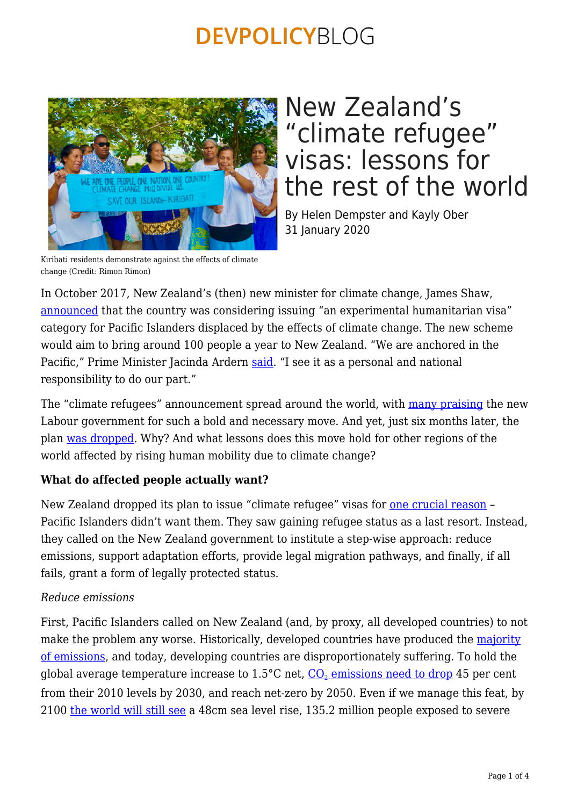

## New Zealand's "climate refugee" visas: lessons for the rest of the world

By Helen Dempster and Kayly Ober 31 January 2020

Kiribati residents demonstrate against the effects of climate change (Credit: Rimon Rimon)

In October 2017, New Zealand's (then) new minister for climate change, James Shaw, [announced](https://www.theguardian.com/world/2017/oct/31/new-zealand-considers-creating-climate-change-refugee-visas) that the country was considering issuing "an experimental humanitarian visa" category for Pacific Islanders displaced by the effects of climate change. The new scheme would aim to bring around 100 people a year to New Zealand. "We are anchored in the Pacific," Prime Minister Jacinda Ardern [said](https://www.triplepundit.com/story/2018/new-zealand-creates-first-climate-change-refugee-visa-program/13651). "I see it as a personal and national responsibility to do our part."

The "climate refugees" announcement spread around the world, with [many praising](https://www.straitstimes.com/asia/australianz/new-zealand-creates-special-refugee-visa-for-pacific-islanders-affected-by-climate) the new Labour government for such a bold and necessary move. And yet, just six months later, the plan [was dropped](https://www.news24.com/Green/News/new-zealand-cools-on-climate-refugee-plan-20180316). Why? And what lessons does this move hold for other regions of the world affected by rising human mobility due to climate change?

### **What do affected people actually want?**

New Zealand dropped its plan to issue "climate refugee" visas for [one crucial reason](https://www.stuff.co.nz/environment/106660148/humanitarian-visa-proposed-for-climate-change-refugees-dead-in-the-water) – Pacific Islanders didn't want them. They saw gaining refugee status as a last resort. Instead, they called on the New Zealand government to institute a step-wise approach: reduce emissions, support adaptation efforts, provide legal migration pathways, and finally, if all fails, grant a form of legally protected status.

#### *Reduce emissions*

First, Pacific Islanders called on New Zealand (and, by proxy, all developed countries) to not make the problem any worse. Historically, developed countries have produced the [majority](http://www.globalcarbonatlas.org/en/CO2-emissions) [of emissions](http://www.globalcarbonatlas.org/en/CO2-emissions), and today, developing countries are disproportionately suffering. To hold the global average temperature increase to 1.5°C net, <u>[CO](https://www.climatecentral.org/gallery/graphics/limiting-global-warming-require-deep-emissions-cuts)<sub>[2](https://www.climatecentral.org/gallery/graphics/limiting-global-warming-require-deep-emissions-cuts)</sub> emissions need to drop</u> 45 per cent from their 2010 levels by 2030, and reach net-zero by 2050. Even if we manage this feat, by 2100 [the world will still see](https://interactive.carbonbrief.org/impacts-climate-change-one-point-five-degrees-two-degrees/) a 48cm sea level rise, 135.2 million people exposed to severe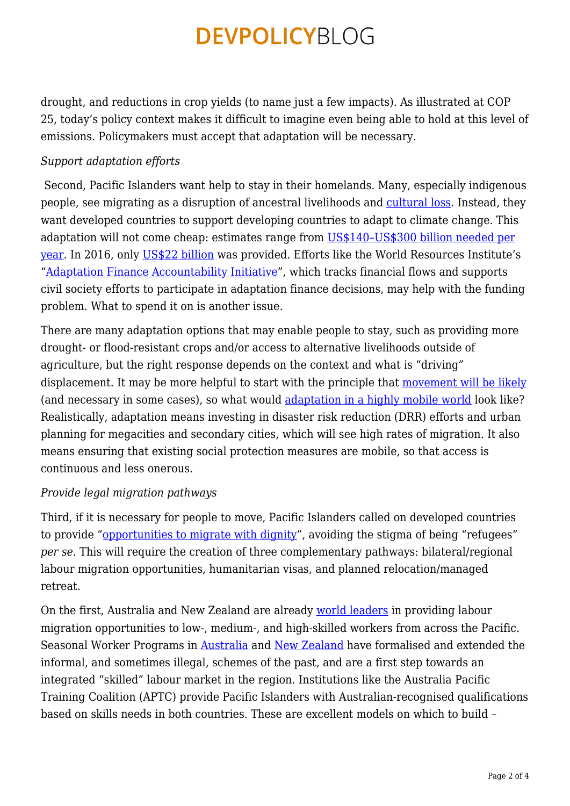drought, and reductions in crop yields (to name just a few impacts). As illustrated at COP 25, today's policy context makes it difficult to imagine even being able to hold at this level of emissions. Policymakers must accept that adaptation will be necessary.

#### *Support adaptation efforts*

Second, Pacific Islanders want help to stay in their homelands. Many, especially indigenous people, see migrating as a disruption of ancestral livelihoods and [cultural loss](https://www.vice.com/en_us/article/43kje3/climate-change-isnt-just-taking-indigenous-pacific-islanders-homes-its-taking-our-identities). Instead, they want developed countries to support developing countries to adapt to climate change. This adaptation will not come cheap: estimates range from [US\\$140–US\\$300 billion needed per](https://climateanalytics.org/media/agr2016.pdf) [year.](https://climateanalytics.org/media/agr2016.pdf) In 2016, only [US\\$22 billion](https://climatepolicyinitiative.org/wp-content/uploads/2017/10/2017-Global-Landscape-of-Climate-Finance.pdf) was provided. Efforts like the World Resources Institute's ["Adaptation Finance Accountability Initiative](https://www.wri.org/our-work/project/adaptation-finance-accountability-initiative)", which tracks financial flows and supports civil society efforts to participate in adaptation finance decisions, may help with the funding problem. What to spend it on is another issue.

There are many adaptation options that may enable people to stay, such as providing more drought- or flood-resistant crops and/or access to alternative livelihoods outside of agriculture, but the right response depends on the context and what is "driving" displacement. It may be more helpful to start with the principle that [movement will be likely](https://assets.publishing.service.gov.uk/government/uploads/system/uploads/attachment_data/file/287717/11-1116-migration-and-global-environmental-change.pdf) (and necessary in some cases), so what would [adaptation in a highly mobile world](https://adaptationwithoutborders.org/) look like? Realistically, adaptation means investing in disaster risk reduction (DRR) efforts and urban planning for megacities and secondary cities, which will see high rates of migration. It also means ensuring that existing social protection measures are mobile, so that access is continuous and less onerous.

### *Provide legal migration pathways*

Third, if it is necessary for people to move, Pacific Islanders called on developed countries to provide ["opportunities to migrate with dignity](https://www.abc.net.au/news/2014-09-05/pacific-islanders-reject-calls-for-27climate-refugee27-status/5723078)", avoiding the stigma of being "refugees" *per se*. This will require the creation of three complementary pathways: bilateral/regional labour migration opportunities, humanitarian visas, and planned relocation/managed retreat.

On the first, Australia and New Zealand are already [world leaders](https://www.cgdev.org/blog/pacific-skills-partnership-improving-aptc-meet-skills-needed-in-region) in providing labour migration opportunities to low-, medium-, and high-skilled workers from across the Pacific. Seasonal Worker Programs in [Australia](https://www.employment.gov.au/seasonal-worker-programme) and [New Zealand](https://www.immigration.govt.nz/about-us/research-and-statistics/research-reports/recognised-seasonal-employer-rse-scheme) have formalised and extended the informal, and sometimes illegal, schemes of the past, and are a first step towards an integrated "skilled" labour market in the region. Institutions like the Australia Pacific Training Coalition (APTC) provide Pacific Islanders with Australian-recognised qualifications based on skills needs in both countries. These are excellent models on which to build –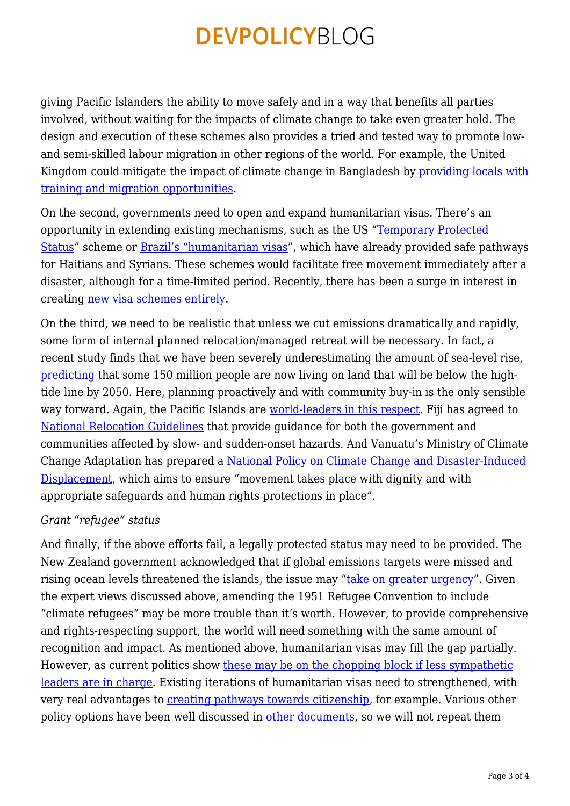giving Pacific Islanders the ability to move safely and in a way that benefits all parties involved, without waiting for the impacts of climate change to take even greater hold. The design and execution of these schemes also provides a tried and tested way to promote lowand semi-skilled labour migration in other regions of the world. For example, the United Kingdom could mitigate the impact of climate change in Bangladesh by [providing locals with](https://www.cgdev.org/publication/sharing-responsibility-rohingya-crisis) [training and migration opportunities.](https://www.cgdev.org/publication/sharing-responsibility-rohingya-crisis)

On the second, governments need to open and expand humanitarian visas. There's an opportunity in extending existing mechanisms, such as the US "[Temporary Protected](https://www.uscis.gov/humanitarian/temporary-protected-status) [Status"](https://www.uscis.gov/humanitarian/temporary-protected-status) scheme or [Brazil's "humanitarian visas"](https://www.fmreview.org/sites/fmr/files/FMRdownloads/en/community-protection/jubilut-andrade-madureira.pdf), which have already provided safe pathways for Haitians and Syrians. These schemes would facilitate free movement immediately after a disaster, although for a time-limited period. Recently, there has been a surge in interest in creating [new visa schemes entirely](https://www.markey.senate.gov/news/press-releases/senator-markey-introduces-first-of-its-kind-legislation-to-address-climate-refugee-crisis).

On the third, we need to be realistic that unless we cut emissions dramatically and rapidly, some form of internal planned relocation/managed retreat will be necessary. In fact, a recent study finds that we have been severely underestimating the amount of sea-level rise, [predicting](https://www.nytimes.com/interactive/2019/10/29/climate/coastal-cities-underwater.html) that some 150 million people are now living on land that will be below the hightide line by 2050. Here, planning proactively and with community buy-in is the only sensible way forward. Again, the Pacific Islands are [world-leaders in this respect](https://www.fmreview.org/GuidingPrinciples20/connell-coelho). Fiji has agreed to [National Relocation Guidelines](https://www.refworld.org/docid/5c3c92204.html) that provide guidance for both the government and communities affected by slow- and sudden-onset hazards. And Vanuatu's Ministry of Climate Change Adaptation has prepared a [National Policy on Climate Change and Disaster-Induced](https://www.iom.int/sites/default/files/press_release/file/iom-vanuatu-policy-climate-change-disaster-induced-displacement-2018.pdf) [Displacement](https://www.iom.int/sites/default/files/press_release/file/iom-vanuatu-policy-climate-change-disaster-induced-displacement-2018.pdf), which aims to ensure "movement takes place with dignity and with appropriate safeguards and human rights protections in place".

#### *Grant "refugee" status*

And finally, if the above efforts fail, a legally protected status may need to be provided. The New Zealand government acknowledged that if global emissions targets were missed and rising ocean levels threatened the islands, the issue may "[take on greater urgency"](https://www.news24.com/Green/News/new-zealand-cools-on-climate-refugee-plan-20180316). Given the expert views discussed above, amending the 1951 Refugee Convention to include "climate refugees" may be more trouble than it's worth. However, to provide comprehensive and rights-respecting support, the world will need something with the same amount of recognition and impact. As mentioned above, humanitarian visas may fill the gap partially. However, as current politics show [these may be on the chopping block if less sympathetic](https://www.washingtonpost.com/news/monkey-cage/wp/2018/08/07/by-ending-temporary-protected-status-for-half-a-million-people-trump-has-probably-increased-illegal-migration/) [leaders are in charge](https://www.washingtonpost.com/news/monkey-cage/wp/2018/08/07/by-ending-temporary-protected-status-for-half-a-million-people-trump-has-probably-increased-illegal-migration/). Existing iterations of humanitarian visas need to strengthened, with very real advantages to [creating pathways towards citizenship,](https://www.dallasnews.com/news/immigration/2019/10/28/we-cant-continue-in-this-limbo-salvadorans-praise-work-permit-extensions-but-want-more/) for example. Various other policy options have been well discussed in [other documents,](http://www.europarl.europa.eu/RegData/etudes/etudes/join/2011/462422/IPOL-LIBE_ET(2011)462422_EN.pdf) so we will not repeat them